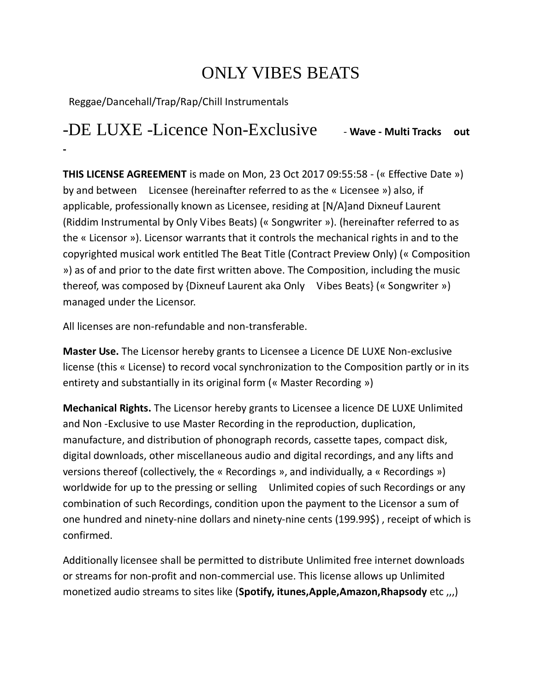# ONLY VIBES BEATS

Reggae/Dancehall/Trap/Rap/Chill Instrumentals

## -DE LUXE -Licence Non-Exclusive - **Wave - Multi Tracks out -**

**THIS LICENSE AGREEMENT** is made on Mon, 23 Oct 2017 09:55:58 - (« Effective Date ») by and between Licensee (hereinafter referred to as the « Licensee ») also, if applicable, professionally known as Licensee, residing at [N/A]and Dixneuf Laurent (Riddim Instrumental by Only Vibes Beats) (« Songwriter »). (hereinafter referred to as the « Licensor »). Licensor warrants that it controls the mechanical rights in and to the copyrighted musical work entitled The Beat Title (Contract Preview Only) (« Composition ») as of and prior to the date first written above. The Composition, including the music thereof, was composed by {Dixneuf Laurent aka Only Vibes Beats} (« Songwriter ») managed under the Licensor.

All licenses are non-refundable and non-transferable.

**Master Use.** The Licensor hereby grants to Licensee a Licence DE LUXE Non-exclusive license (this « License) to record vocal synchronization to the Composition partly or in its entirety and substantially in its original form (« Master Recording »)

**Mechanical Rights.** The Licensor hereby grants to Licensee a licence DE LUXE Unlimited and Non -Exclusive to use Master Recording in the reproduction, duplication, manufacture, and distribution of phonograph records, cassette tapes, compact disk, digital downloads, other miscellaneous audio and digital recordings, and any lifts and versions thereof (collectively, the « Recordings », and individually, a « Recordings ») worldwide for up to the pressing or selling Unlimited copies of such Recordings or any combination of such Recordings, condition upon the payment to the Licensor a sum of one hundred and ninety-nine dollars and ninety-nine cents (199.99\$) , receipt of which is confirmed.

Additionally licensee shall be permitted to distribute Unlimited free internet downloads or streams for non-profit and non-commercial use. This license allows up Unlimited monetized audio streams to sites like (**Spotify, itunes,Apple,Amazon,Rhapsody** etc ,,,)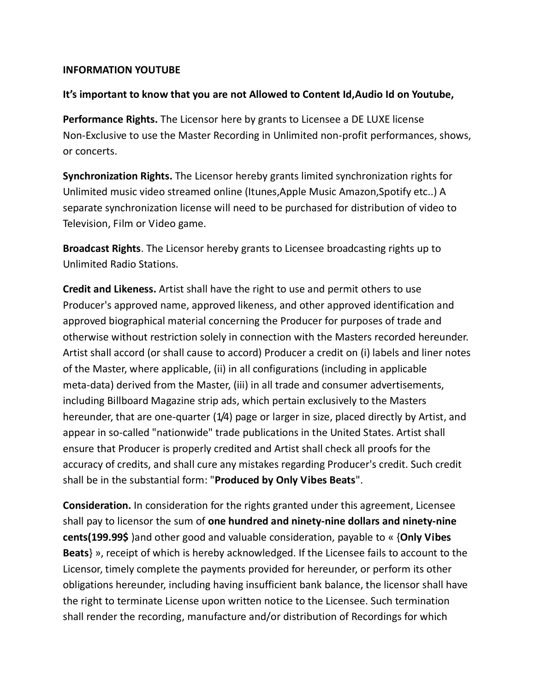### **INFORMATION YOUTUBE**

### **It's important to know that you are not Allowed to Content Id,Audio Id on Youtube,**

**Performance Rights.** The Licensor here by grants to Licensee a DE LUXE license Non-Exclusive to use the Master Recording in Unlimited non-profit performances, shows, or concerts.

**Synchronization Rights.** The Licensor hereby grants limited synchronization rights for Unlimited music video streamed online (Itunes,Apple Music Amazon,Spotify etc..) A separate synchronization license will need to be purchased for distribution of video to Television, Film or Video game.

**Broadcast Rights**. The Licensor hereby grants to Licensee broadcasting rights up to Unlimited Radio Stations.

**Credit and Likeness.** Artist shall have the right to use and permit others to use Producer's approved name, approved likeness, and other approved identification and approved biographical material concerning the Producer for purposes of trade and otherwise without restriction solely in connection with the Masters recorded hereunder. Artist shall accord (or shall cause to accord) Producer a credit on (i) labels and liner notes of the Master, where applicable, (ii) in all configurations (including in applicable meta-data) derived from the Master, (iii) in all trade and consumer advertisements, including Billboard Magazine strip ads, which pertain exclusively to the Masters hereunder, that are one-quarter (1/4) page or larger in size, placed directly by Artist, and appear in so-called "nationwide" trade publications in the United States. Artist shall ensure that Producer is properly credited and Artist shall check all proofs for the accuracy of credits, and shall cure any mistakes regarding Producer's credit. Such credit shall be in the substantial form: "**Produced by Only Vibes Beats**".

**Consideration.** In consideration for the rights granted under this agreement, Licensee shall pay to licensor the sum of **one hundred and ninety-nine dollars and ninety-nine cents(199.99\$** )and other good and valuable consideration, payable to « {**Only Vibes Beats**} », receipt of which is hereby acknowledged. If the Licensee fails to account to the Licensor, timely complete the payments provided for hereunder, or perform its other obligations hereunder, including having insufficient bank balance, the licensor shall have the right to terminate License upon written notice to the Licensee. Such termination shall render the recording, manufacture and/or distribution of Recordings for which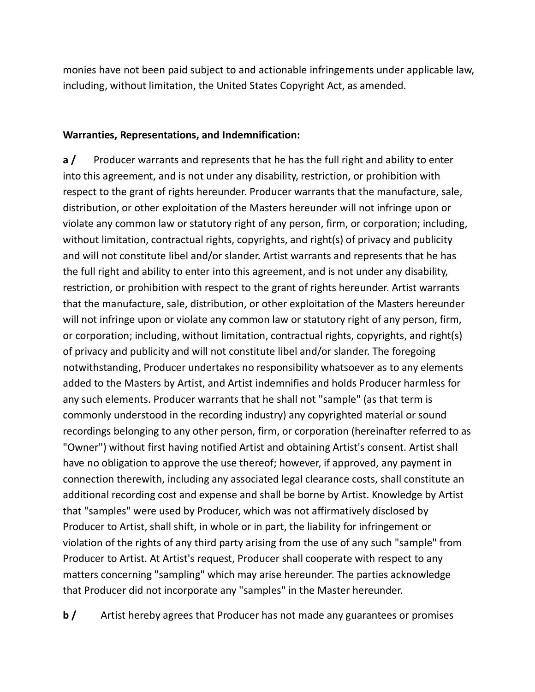monies have not been paid subject to and actionable infringements under applicable law, including, without limitation, the United States Copyright Act, as amended.

### **Warranties, Representations, and Indemnification:**

**a** / Producer warrants and represents that he has the full right and ability to enter into this agreement, and is not under any disability, restriction, or prohibition with respect to the grant of rights hereunder. Producer warrants that the manufacture, sale, distribution, or other exploitation of the Masters hereunder will not infringe upon or violate any common law or statutory right of any person, firm, or corporation; including, without limitation, contractual rights, copyrights, and right(s) of privacy and publicity and will not constitute libel and/or slander. Artist warrants and represents that he has the full right and ability to enter into this agreement, and is not under any disability, restriction, or prohibition with respect to the grant of rights hereunder. Artist warrants that the manufacture, sale, distribution, or other exploitation of the Masters hereunder will not infringe upon or violate any common law or statutory right of any person, firm, or corporation; including, without limitation, contractual rights, copyrights, and right(s) of privacy and publicity and will not constitute libel and/or slander. The foregoing notwithstanding, Producer undertakes no responsibility whatsoever as to any elements added to the Masters by Artist, and Artist indemnifies and holds Producer harmless for any such elements. Producer warrants that he shall not "sample" (as that term is commonly understood in the recording industry) any copyrighted material or sound recordings belonging to any other person, firm, or corporation (hereinafter referred to as "Owner") without first having notified Artist and obtaining Artist's consent. Artist shall have no obligation to approve the use thereof; however, if approved, any payment in connection therewith, including any associated legal clearance costs, shall constitute an additional recording cost and expense and shall be borne by Artist. Knowledge by Artist that "samples" were used by Producer, which was not affirmatively disclosed by Producer to Artist, shall shift, in whole or in part, the liability for infringement or violation of the rights of any third party arising from the use of any such "sample" from Producer to Artist. At Artist's request, Producer shall cooperate with respect to any matters concerning "sampling" which may arise hereunder. The parties acknowledge that Producer did not incorporate any "samples" in the Master hereunder.

**b** / Artist hereby agrees that Producer has not made any guarantees or promises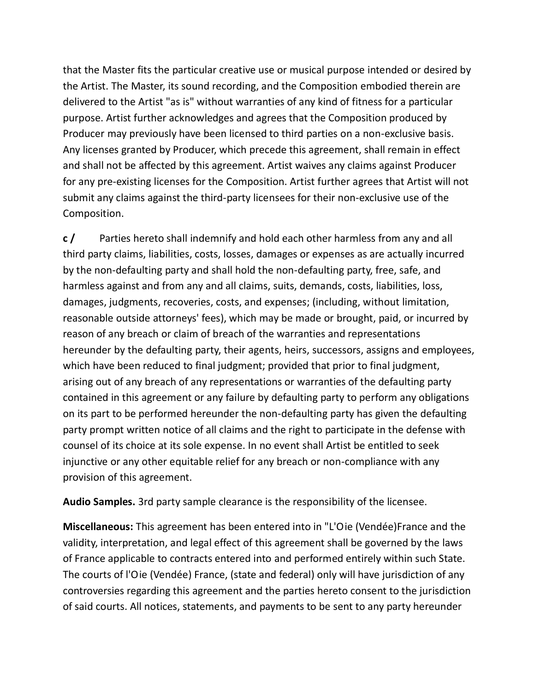that the Master fits the particular creative use or musical purpose intended or desired by the Artist. The Master, its sound recording, and the Composition embodied therein are delivered to the Artist "as is" without warranties of any kind of fitness for a particular purpose. Artist further acknowledges and agrees that the Composition produced by Producer may previously have been licensed to third parties on a non-exclusive basis. Any licenses granted by Producer, which precede this agreement, shall remain in effect and shall not be affected by this agreement. Artist waives any claims against Producer for any pre-existing licenses for the Composition. Artist further agrees that Artist will not submit any claims against the third-party licensees for their non-exclusive use of the Composition.

**c /** Parties hereto shall indemnify and hold each other harmless from any and all third party claims, liabilities, costs, losses, damages or expenses as are actually incurred by the non-defaulting party and shall hold the non-defaulting party, free, safe, and harmless against and from any and all claims, suits, demands, costs, liabilities, loss, damages, judgments, recoveries, costs, and expenses; (including, without limitation, reasonable outside attorneys' fees), which may be made or brought, paid, or incurred by reason of any breach or claim of breach of the warranties and representations hereunder by the defaulting party, their agents, heirs, successors, assigns and employees, which have been reduced to final judgment; provided that prior to final judgment, arising out of any breach of any representations or warranties of the defaulting party contained in this agreement or any failure by defaulting party to perform any obligations on its part to be performed hereunder the non-defaulting party has given the defaulting party prompt written notice of all claims and the right to participate in the defense with counsel of its choice at its sole expense. In no event shall Artist be entitled to seek injunctive or any other equitable relief for any breach or non-compliance with any provision of this agreement.

**Audio Samples.** 3rd party sample clearance is the responsibility of the licensee.

**Miscellaneous:** This agreement has been entered into in "L'Oie (Vendée)France and the validity, interpretation, and legal effect of this agreement shall be governed by the laws of France applicable to contracts entered into and performed entirely within such State. The courts of l'Oie (Vendée) France, (state and federal) only will have jurisdiction of any controversies regarding this agreement and the parties hereto consent to the jurisdiction of said courts. All notices, statements, and payments to be sent to any party hereunder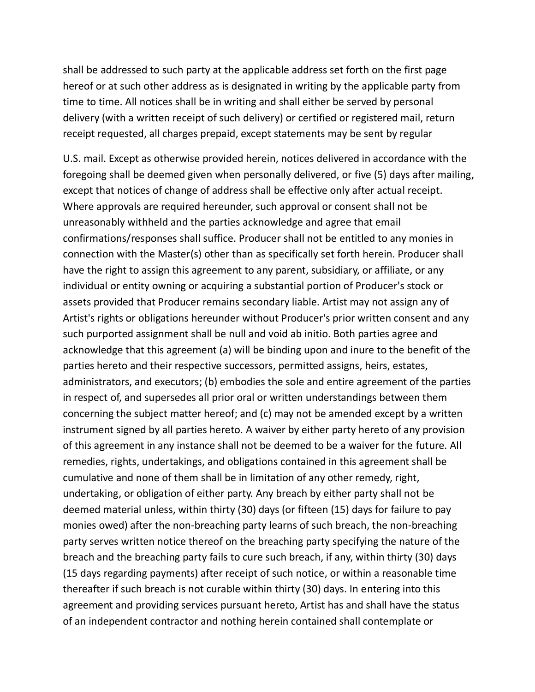shall be addressed to such party at the applicable address set forth on the first page hereof or at such other address as is designated in writing by the applicable party from time to time. All notices shall be in writing and shall either be served by personal delivery (with a written receipt of such delivery) or certified or registered mail, return receipt requested, all charges prepaid, except statements may be sent by regular

U.S. mail. Except as otherwise provided herein, notices delivered in accordance with the foregoing shall be deemed given when personally delivered, or five (5) days after mailing, except that notices of change of address shall be effective only after actual receipt. Where approvals are required hereunder, such approval or consent shall not be unreasonably withheld and the parties acknowledge and agree that email confirmations/responses shall suffice. Producer shall not be entitled to any monies in connection with the Master(s) other than as specifically set forth herein. Producer shall have the right to assign this agreement to any parent, subsidiary, or affiliate, or any individual or entity owning or acquiring a substantial portion of Producer's stock or assets provided that Producer remains secondary liable. Artist may not assign any of Artist's rights or obligations hereunder without Producer's prior written consent and any such purported assignment shall be null and void ab initio. Both parties agree and acknowledge that this agreement (a) will be binding upon and inure to the benefit of the parties hereto and their respective successors, permitted assigns, heirs, estates, administrators, and executors; (b) embodies the sole and entire agreement of the parties in respect of, and supersedes all prior oral or written understandings between them concerning the subject matter hereof; and (c) may not be amended except by a written instrument signed by all parties hereto. A waiver by either party hereto of any provision of this agreement in any instance shall not be deemed to be a waiver for the future. All remedies, rights, undertakings, and obligations contained in this agreement shall be cumulative and none of them shall be in limitation of any other remedy, right, undertaking, or obligation of either party. Any breach by either party shall not be deemed material unless, within thirty (30) days (or fifteen (15) days for failure to pay monies owed) after the non-breaching party learns of such breach, the non-breaching party serves written notice thereof on the breaching party specifying the nature of the breach and the breaching party fails to cure such breach, if any, within thirty (30) days (15 days regarding payments) after receipt of such notice, or within a reasonable time thereafter if such breach is not curable within thirty (30) days. In entering into this agreement and providing services pursuant hereto, Artist has and shall have the status of an independent contractor and nothing herein contained shall contemplate or